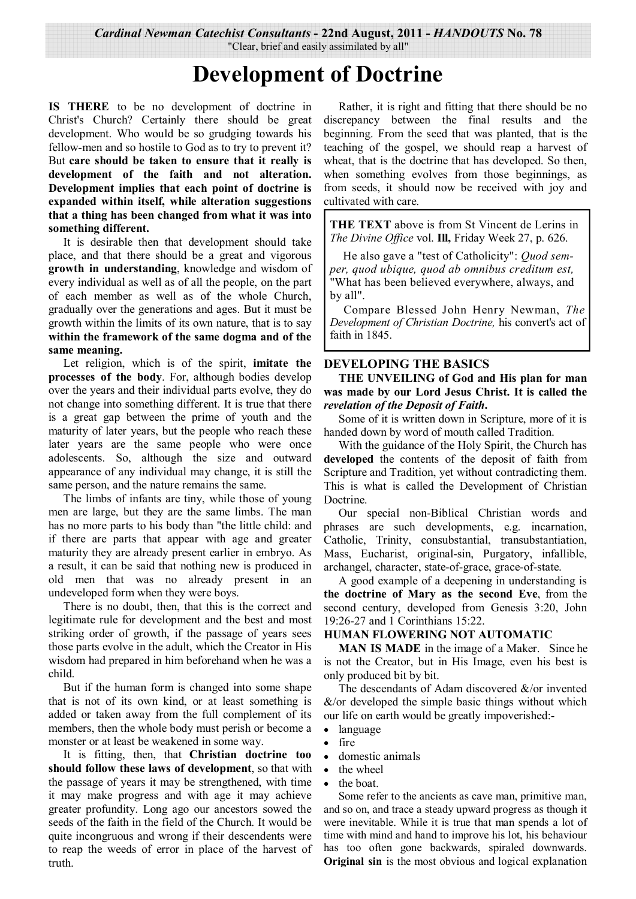*Cardinal Newman Catechist Consultants* **- 22nd August, 2011 -** *HANDOUTS* **No. 78** 

"Clear, brief and easily assimilated by all"

# **Development of Doctrine**

**IS THERE** to be no development of doctrine in Christ's Church? Certainly there should be great development. Who would be so grudging towards his fellow-men and so hostile to God as to try to prevent it? But **care should be taken to ensure that it really is development of the faith and not alteration. Development implies that each point of doctrine is expanded within itself, while alteration suggestions that a thing has been changed from what it was into something different.** 

 It is desirable then that development should take place, and that there should be a great and vigorous **growth in understanding**, knowledge and wisdom of every individual as well as of all the people, on the part of each member as well as of the whole Church, gradually over the generations and ages. But it must be growth within the limits of its own nature, that is to say **within the framework of the same dogma and of the same meaning.**

 Let religion, which is of the spirit, **imitate the processes of the body**. For, although bodies develop over the years and their individual parts evolve, they do not change into something different. It is true that there is a great gap between the prime of youth and the maturity of later years, but the people who reach these later years are the same people who were once adolescents. So, although the size and outward appearance of any individual may change, it is still the same person, and the nature remains the same.

 The limbs of infants are tiny, while those of young men are large, but they are the same limbs. The man has no more parts to his body than "the little child: and if there are parts that appear with age and greater maturity they are already present earlier in embryo. As a result, it can be said that nothing new is produced in old men that was no already present in an undeveloped form when they were boys.

 There is no doubt, then, that this is the correct and legitimate rule for development and the best and most striking order of growth, if the passage of years sees those parts evolve in the adult, which the Creator in His wisdom had prepared in him beforehand when he was a child.

 But if the human form is changed into some shape that is not of its own kind, or at least something is added or taken away from the full complement of its members, then the whole body must perish or become a monster or at least be weakened in some way.

 It is fitting, then, that **Christian doctrine too should follow these laws of development**, so that with the passage of years it may be strengthened, with time it may make progress and with age it may achieve greater profundity. Long ago our ancestors sowed the seeds of the faith in the field of the Church. It would be quite incongruous and wrong if their descendents were to reap the weeds of error in place of the harvest of truth.

 Rather, it is right and fitting that there should be no discrepancy between the final results and the beginning. From the seed that was planted, that is the teaching of the gospel, we should reap a harvest of wheat, that is the doctrine that has developed. So then, when something evolves from those beginnings, as from seeds, it should now be received with joy and cultivated with care.

**THE TEXT** above is from St Vincent de Lerins in *The Divine Office* vol. **Ill,** Friday Week 27, p. 626.

 He also gave a "test of Catholicity": *Quod semper, quod ubique, quod ab omnibus creditum est,*  "What has been believed everywhere, always, and by all".

Compare Blessed John Henry Newman, *The Development of Christian Doctrine,* his convert's act of faith in 1845.

# **DEVELOPING THE BASICS**

**THE UNVEILING of God and His plan for man was made by our Lord Jesus Christ. It is called the**  *revelation of the Deposit of Faith***.** 

 Some of it is written down in Scripture, more of it is handed down by word of mouth called Tradition.

 With the guidance of the Holy Spirit, the Church has **developed** the contents of the deposit of faith from Scripture and Tradition, yet without contradicting them. This is what is called the Development of Christian Doctrine.

 Our special non-Biblical Christian words and phrases are such developments, e.g. incarnation, Catholic, Trinity, consubstantial, transubstantiation, Mass, Eucharist, original-sin, Purgatory, infallible, archangel, character, state-of-grace, grace-of-state.

 A good example of a deepening in understanding is **the doctrine of Mary as the second Eve**, from the second century, developed from Genesis 3:20, John 19:26-27 and 1 Corinthians 15:22.

## **HUMAN FLOWERING NOT AUTOMATIC**

**MAN IS MADE** in the image of a Maker. Since he is not the Creator, but in His Image, even his best is only produced bit by bit.

 The descendants of Adam discovered &/or invented  $&$ /or developed the simple basic things without which our life on earth would be greatly impoverished:-

- language
- fire
- domestic animals
- the wheel
- the boat.

Some refer to the ancients as cave man, primitive man, and so on, and trace a steady upward progress as though it were inevitable. While it is true that man spends a lot of time with mind and hand to improve his lot, his behaviour has too often gone backwards, spiraled downwards. **Original sin** is the most obvious and logical explanation